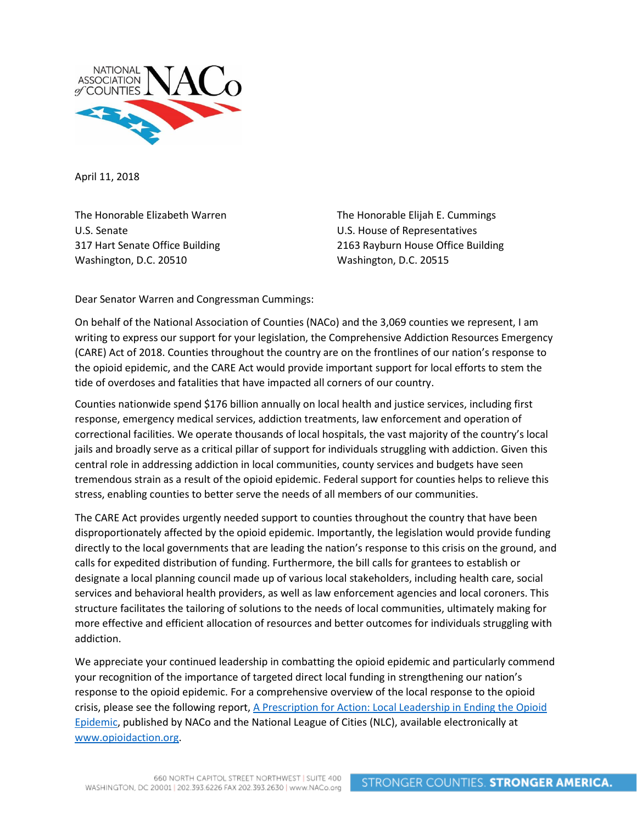

April 11, 2018

The Honorable Elizabeth Warren U.S. Senate 317 Hart Senate Office Building Washington, D.C. 20510

The Honorable Elijah E. Cummings U.S. House of Representatives 2163 Rayburn House Office Building Washington, D.C. 20515

Dear Senator Warren and Congressman Cummings:

On behalf of the National Association of Counties (NACo) and the 3,069 counties we represent, I am writing to express our support for your legislation, the Comprehensive Addiction Resources Emergency (CARE) Act of 2018. Counties throughout the country are on the frontlines of our nation's response to the opioid epidemic, and the CARE Act would provide important support for local efforts to stem the tide of overdoses and fatalities that have impacted all corners of our country.

Counties nationwide spend \$176 billion annually on local health and justice services, including first response, emergency medical services, addiction treatments, law enforcement and operation of correctional facilities. We operate thousands of local hospitals, the vast majority of the country's local jails and broadly serve as a critical pillar of support for individuals struggling with addiction. Given this central role in addressing addiction in local communities, county services and budgets have seen tremendous strain as a result of the opioid epidemic. Federal support for counties helps to relieve this stress, enabling counties to better serve the needs of all members of our communities.

The CARE Act provides urgently needed support to counties throughout the country that have been disproportionately affected by the opioid epidemic. Importantly, the legislation would provide funding directly to the local governments that are leading the nation's response to this crisis on the ground, and calls for expedited distribution of funding. Furthermore, the bill calls for grantees to establish or designate a local planning council made up of various local stakeholders, including health care, social services and behavioral health providers, as well as law enforcement agencies and local coroners. This structure facilitates the tailoring of solutions to the needs of local communities, ultimately making for more effective and efficient allocation of resources and better outcomes for individuals struggling with addiction.

We appreciate your continued leadership in combatting the opioid epidemic and particularly commend your recognition of the importance of targeted direct local funding in strengthening our nation's response to the opioid epidemic. For a comprehensive overview of the local response to the opioid crisis, please see the following report, [A Prescription for Action: Local Leadership in Ending the Opioid](http://opioidaction.org/wp-content/uploads/2017/01/NACo-NLC_JointOpioidReport_FINAL_12.15.16.pdf)  [Epidemic,](http://opioidaction.org/wp-content/uploads/2017/01/NACo-NLC_JointOpioidReport_FINAL_12.15.16.pdf) published by NACo and the National League of Cities (NLC), available electronically at [www.opioidaction.org.](http://www.opioidaction.org/)